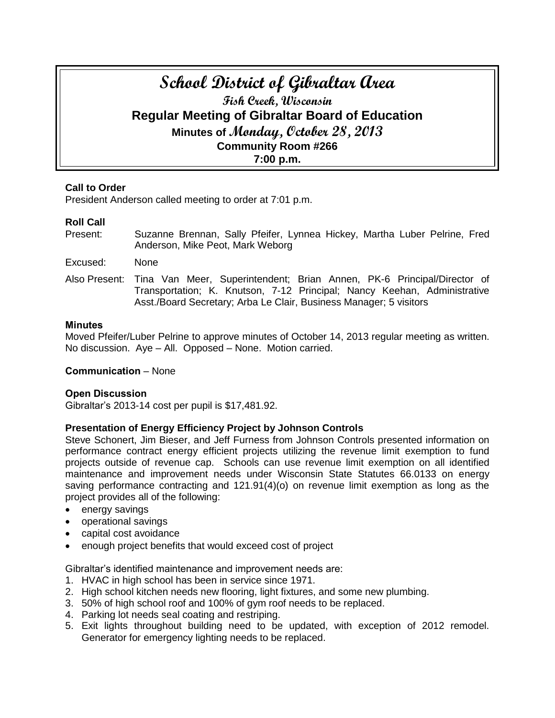# **School District of Gibraltar Area Fish Creek, Wisconsin Regular Meeting of Gibraltar Board of Education Minutes of Monday, October 28, 2013 Community Room #266 7:00 p.m.**

## **Call to Order**

President Anderson called meeting to order at 7:01 p.m.

# **Roll Call**

- Present: Suzanne Brennan, Sally Pfeifer, Lynnea Hickey, Martha Luber Pelrine, Fred Anderson, Mike Peot, Mark Weborg
- Excused: None
- Also Present: Tina Van Meer, Superintendent; Brian Annen, PK-6 Principal/Director of Transportation; K. Knutson, 7-12 Principal; Nancy Keehan, Administrative Asst./Board Secretary; Arba Le Clair, Business Manager; 5 visitors

## **Minutes**

Moved Pfeifer/Luber Pelrine to approve minutes of October 14, 2013 regular meeting as written. No discussion. Aye – All. Opposed – None. Motion carried.

## **Communication** – None

## **Open Discussion**

Gibraltar's 2013-14 cost per pupil is \$17,481.92.

# **Presentation of Energy Efficiency Project by Johnson Controls**

Steve Schonert, Jim Bieser, and Jeff Furness from Johnson Controls presented information on performance contract energy efficient projects utilizing the revenue limit exemption to fund projects outside of revenue cap. Schools can use revenue limit exemption on all identified maintenance and improvement needs under Wisconsin State Statutes 66.0133 on energy saving performance contracting and 121.91(4)(o) on revenue limit exemption as long as the project provides all of the following:

- energy savings
- operational savings
- capital cost avoidance
- enough project benefits that would exceed cost of project

Gibraltar's identified maintenance and improvement needs are:

- 1. HVAC in high school has been in service since 1971.
- 2. High school kitchen needs new flooring, light fixtures, and some new plumbing.
- 3. 50% of high school roof and 100% of gym roof needs to be replaced.
- 4. Parking lot needs seal coating and restriping.
- 5. Exit lights throughout building need to be updated, with exception of 2012 remodel. Generator for emergency lighting needs to be replaced.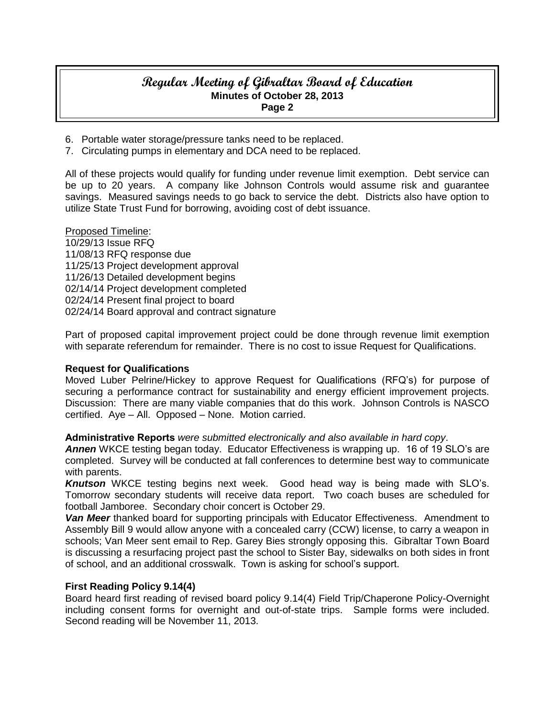# **Regular Meeting of Gibraltar Board of Education Minutes of October 28, 2013 Page 2**

- 6. Portable water storage/pressure tanks need to be replaced.
- 7. Circulating pumps in elementary and DCA need to be replaced.

All of these projects would qualify for funding under revenue limit exemption. Debt service can be up to 20 years. A company like Johnson Controls would assume risk and guarantee savings. Measured savings needs to go back to service the debt. Districts also have option to utilize State Trust Fund for borrowing, avoiding cost of debt issuance.

Proposed Timeline: 10/29/13 Issue RFQ 11/08/13 RFQ response due 11/25/13 Project development approval 11/26/13 Detailed development begins 02/14/14 Project development completed 02/24/14 Present final project to board 02/24/14 Board approval and contract signature

Part of proposed capital improvement project could be done through revenue limit exemption with separate referendum for remainder. There is no cost to issue Request for Qualifications.

## **Request for Qualifications**

Moved Luber Pelrine/Hickey to approve Request for Qualifications (RFQ's) for purpose of securing a performance contract for sustainability and energy efficient improvement projects. Discussion: There are many viable companies that do this work. Johnson Controls is NASCO certified. Aye – All. Opposed – None. Motion carried.

### **Administrative Reports** *were submitted electronically and also available in hard copy*.

*Annen* WKCE testing began today. Educator Effectiveness is wrapping up. 16 of 19 SLO's are completed. Survey will be conducted at fall conferences to determine best way to communicate with parents.

*Knutson* WKCE testing begins next week. Good head way is being made with SLO's. Tomorrow secondary students will receive data report. Two coach buses are scheduled for football Jamboree. Secondary choir concert is October 29.

*Van Meer* thanked board for supporting principals with Educator Effectiveness. Amendment to Assembly Bill 9 would allow anyone with a concealed carry (CCW) license, to carry a weapon in schools; Van Meer sent email to Rep. Garey Bies strongly opposing this. Gibraltar Town Board is discussing a resurfacing project past the school to Sister Bay, sidewalks on both sides in front of school, and an additional crosswalk. Town is asking for school's support.

### **First Reading Policy 9.14(4)**

Board heard first reading of revised board policy 9.14(4) Field Trip/Chaperone Policy-Overnight including consent forms for overnight and out-of-state trips. Sample forms were included. Second reading will be November 11, 2013.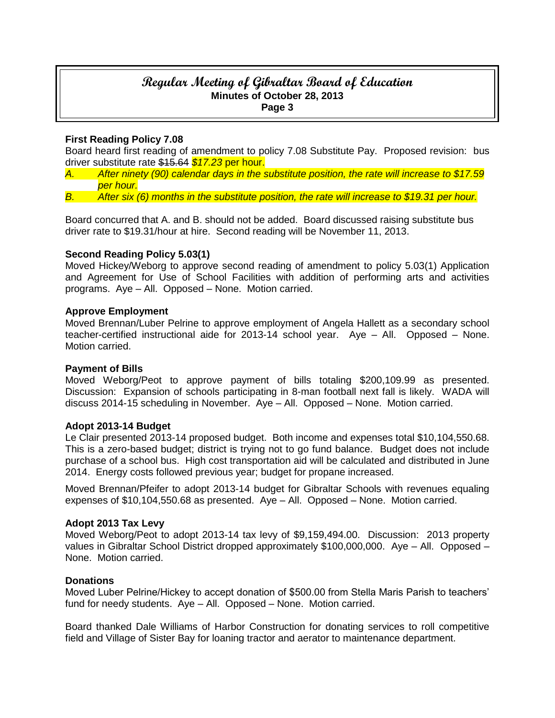# **Regular Meeting of Gibraltar Board of Education Minutes of October 28, 2013 Page 3**

## **First Reading Policy 7.08**

Board heard first reading of amendment to policy 7.08 Substitute Pay. Proposed revision: bus driver substitute rate \$15.64 *\$17.23* per hour.

- *A. After ninety (90) calendar days in the substitute position, the rate will increase to \$17.59 per hour.*
- *B. After six (6) months in the substitute position, the rate will increase to \$19.31 per hour.*

Board concurred that A. and B. should not be added. Board discussed raising substitute bus driver rate to \$19.31/hour at hire. Second reading will be November 11, 2013.

### **Second Reading Policy 5.03(1)**

Moved Hickey/Weborg to approve second reading of amendment to policy 5.03(1) Application and Agreement for Use of School Facilities with addition of performing arts and activities programs. Aye – All. Opposed – None. Motion carried.

### **Approve Employment**

Moved Brennan/Luber Pelrine to approve employment of Angela Hallett as a secondary school teacher-certified instructional aide for 2013-14 school year. Aye – All. Opposed – None. Motion carried.

### **Payment of Bills**

Moved Weborg/Peot to approve payment of bills totaling \$200,109.99 as presented. Discussion: Expansion of schools participating in 8-man football next fall is likely. WADA will discuss 2014-15 scheduling in November. Aye – All. Opposed – None. Motion carried.

### **Adopt 2013-14 Budget**

Le Clair presented 2013-14 proposed budget. Both income and expenses total \$10,104,550.68. This is a zero-based budget; district is trying not to go fund balance. Budget does not include purchase of a school bus. High cost transportation aid will be calculated and distributed in June 2014. Energy costs followed previous year; budget for propane increased.

Moved Brennan/Pfeifer to adopt 2013-14 budget for Gibraltar Schools with revenues equaling expenses of \$10,104,550.68 as presented. Aye – All. Opposed – None. Motion carried.

### **Adopt 2013 Tax Levy**

Moved Weborg/Peot to adopt 2013-14 tax levy of \$9,159,494.00. Discussion: 2013 property values in Gibraltar School District dropped approximately \$100,000,000. Aye – All. Opposed – None. Motion carried.

### **Donations**

Moved Luber Pelrine/Hickey to accept donation of \$500.00 from Stella Maris Parish to teachers' fund for needy students. Aye – All. Opposed – None. Motion carried.

Board thanked Dale Williams of Harbor Construction for donating services to roll competitive field and Village of Sister Bay for loaning tractor and aerator to maintenance department.